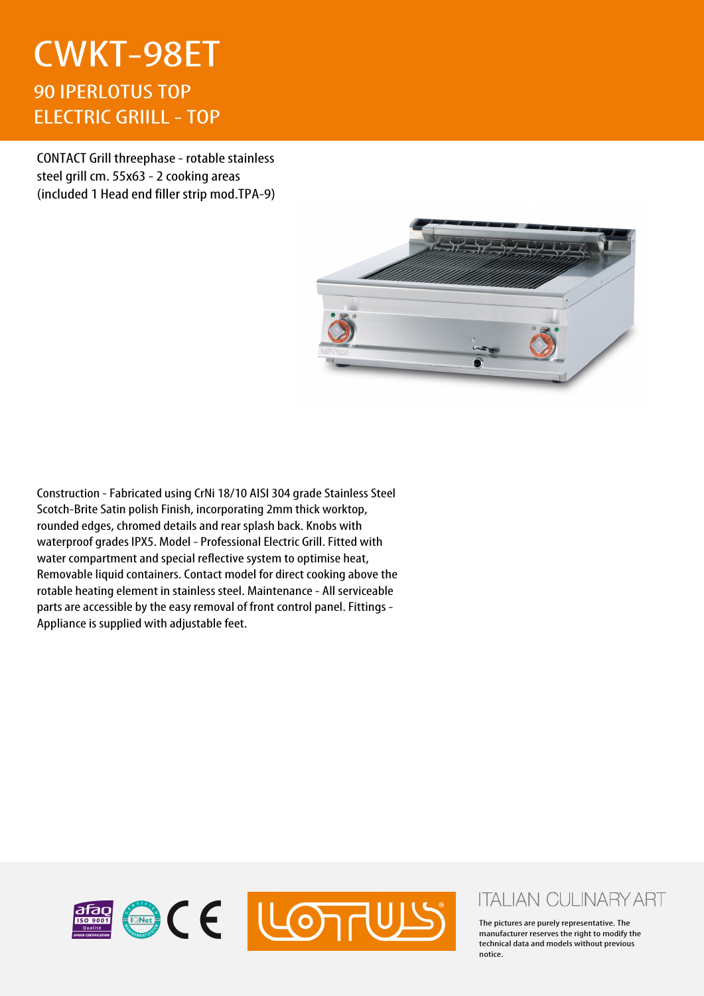## CWKT-98ET 90 IPERLOTUS TOP ELECTRIC GRIILL - TOP

CONTACT Grill threephase - rotable stainless steel grill cm. 55x63 - 2 cooking areas (included 1 Head end filler strip mod.TPA-9)



Construction - Fabricated using CrNi 18/10 AISI 304 grade Stainless Steel Scotch-Brite Satin polish Finish, incorporating 2mm thick worktop, rounded edges, chromed details and rear splash back. Knobs with waterproof grades IPX5. Model - Professional Electric Grill. Fitted with water compartment and special reflective system to optimise heat, Removable liquid containers. Contact model for direct cooking above the rotable heating element in stainless steel. Maintenance - All serviceable parts are accessible by the easy removal of front control panel. Fittings - Appliance is supplied with adjustable feet.



## **ITALIAN CULINARY ART**

The pictures are purely representative. The manufacturer reserves the right to modify the technical data and models without previous notice.